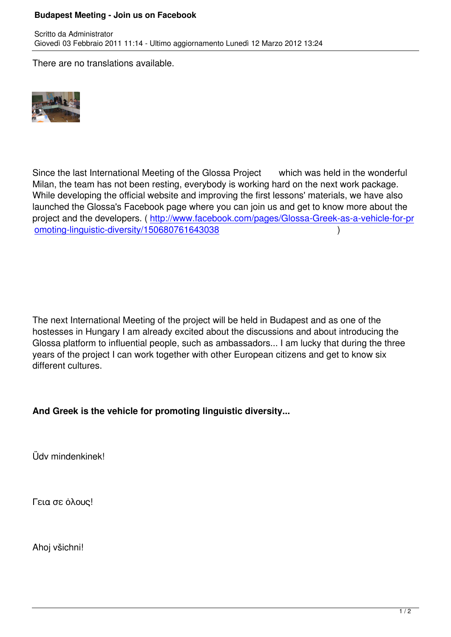There are no translations available.



Since the last International Meeting of the Glossa Project which was held in the wonderful Milan, the team has not been resting, everybody is working hard on the next work package. While developing the official website and improving the first lessons' materials, we have also launched the Glossa's Facebook page where you can join us and get to know more about the project and the developers. ( http://www.facebook.com/pages/Glossa-Greek-as-a-vehicle-for-pr omoting-linguistic-diversity/150680761643038 (and the control of the control of the control of the control of the control of the control of the control of the control of the control of the control of the control of the con

The next International Meeting of the project will be held in Budapest and as one of the hostesses in Hungary I am already excited about the discussions and about introducing the Glossa platform to influential people, such as ambassadors... I am lucky that during the three years of the project I can work together with other European citizens and get to know six different cultures.

**And Greek is the vehicle for promoting linguistic diversity...** 

Üdv mindenkinek!

Γεια σε όλους!

Ahoj všichni!